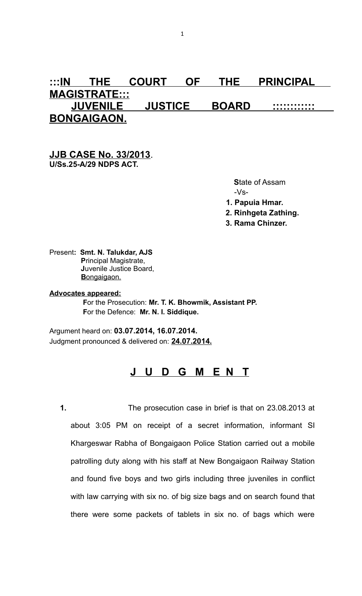# **:::IN THE COURT OF THE PRINCIPAL MAGISTRATE::: JUVENILE JUSTICE BOARD :::::::::::: BONGAIGAON.**

## **JJB CASE No. 33/2013**. **U/Ss.25-A/29 NDPS ACT.**

 **S**tate of Assam -Vs- **1. Papuia Hmar.**

 **2. Rinhgeta Zathing.**

 **3. Rama Chinzer.**

Present**: Smt. N. Talukdar, AJS P**rincipal Magistrate,  **J**uvenile Justice Board, Bongaigaon.

**Advocates appeared: F**or the Prosecution: **Mr. T. K. Bhowmik, Assistant PP. F**or the Defence: **Mr. N. I. Siddique.**

Argument heard on: **03.07.2014, 16.07.2014.** Judgment pronounced & delivered on: **24.07.2014.**

# **J U D G M E N T**

**1.** The prosecution case in brief is that on 23.08.2013 at about 3:05 PM on receipt of a secret information, informant SI Khargeswar Rabha of Bongaigaon Police Station carried out a mobile patrolling duty along with his staff at New Bongaigaon Railway Station and found five boys and two girls including three juveniles in conflict with law carrying with six no. of big size bags and on search found that there were some packets of tablets in six no. of bags which were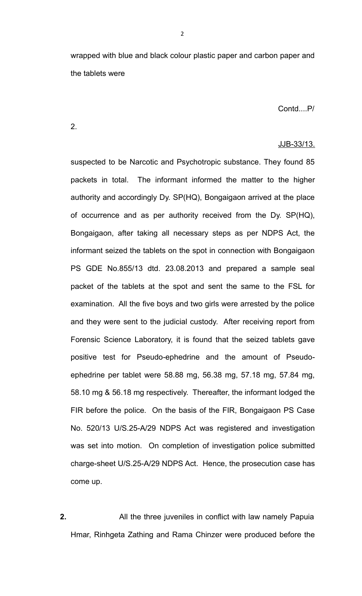wrapped with blue and black colour plastic paper and carbon paper and the tablets were

Contd....P/

2.

#### JJB-33/13.

suspected to be Narcotic and Psychotropic substance. They found 85 packets in total. The informant informed the matter to the higher authority and accordingly Dy. SP(HQ), Bongaigaon arrived at the place of occurrence and as per authority received from the Dy. SP(HQ), Bongaigaon, after taking all necessary steps as per NDPS Act, the informant seized the tablets on the spot in connection with Bongaigaon PS GDE No.855/13 dtd. 23.08.2013 and prepared a sample seal packet of the tablets at the spot and sent the same to the FSL for examination. All the five boys and two girls were arrested by the police and they were sent to the judicial custody. After receiving report from Forensic Science Laboratory, it is found that the seized tablets gave positive test for Pseudo-ephedrine and the amount of Pseudoephedrine per tablet were 58.88 mg, 56.38 mg, 57.18 mg, 57.84 mg, 58.10 mg & 56.18 mg respectively. Thereafter, the informant lodged the FIR before the police. On the basis of the FIR, Bongaigaon PS Case No. 520/13 U/S.25-A/29 NDPS Act was registered and investigation was set into motion. On completion of investigation police submitted charge-sheet U/S.25-A/29 NDPS Act. Hence, the prosecution case has come up.

**2.** All the three juveniles in conflict with law namely Papuia Hmar, Rinhgeta Zathing and Rama Chinzer were produced before the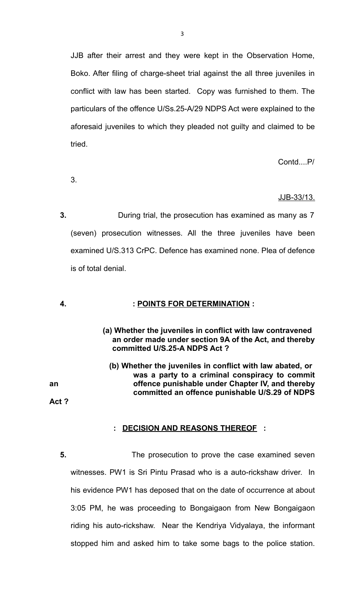JJB after their arrest and they were kept in the Observation Home, Boko. After filing of charge-sheet trial against the all three juveniles in conflict with law has been started. Copy was furnished to them. The particulars of the offence U/Ss.25-A/29 NDPS Act were explained to the aforesaid juveniles to which they pleaded not guilty and claimed to be tried.

Contd....P/

3.

# JJB-33/13.

**3.** During trial, the prosecution has examined as many as 7 (seven) prosecution witnesses. All the three juveniles have been examined U/S.313 CrPC. Defence has examined none. Plea of defence is of total denial.

## **4.****: POINTS FOR DETERMINATION :**

- **(a) Whether the juveniles in conflict with law contravened an order made under section 9A of the Act, and thereby committed U/S.25-A NDPS Act ?**
- **(b) Whether the juveniles in conflict with law abated, or was a party to a criminal conspiracy to commit an offence punishable under Chapter IV, and thereby committed an offence punishable U/S.29 of NDPS**

**Act ?** 

## **: DECISION AND REASONS THEREOF :**

**5.** The prosecution to prove the case examined seven witnesses. PW1 is Sri Pintu Prasad who is a auto-rickshaw driver. In his evidence PW1 has deposed that on the date of occurrence at about 3:05 PM, he was proceeding to Bongaigaon from New Bongaigaon riding his auto-rickshaw. Near the Kendriya Vidyalaya, the informant stopped him and asked him to take some bags to the police station.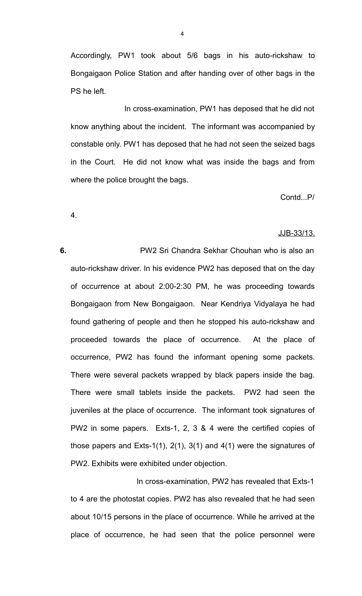Accordingly, PW1 took about 5/6 bags in his auto-rickshaw to Bongaigaon Police Station and after handing over of other bags in the PS he left.

 In cross-examination, PW1 has deposed that he did not know anything about the incident. The informant was accompanied by constable only. PW1 has deposed that he had not seen the seized bags in the Court. He did not know what was inside the bags and from where the police brought the bags.

Contd...P/

4.

#### JJB-33/13.

**6.** PW2 Sri Chandra Sekhar Chouhan who is also an auto-rickshaw driver. In his evidence PW2 has deposed that on the day of occurrence at about 2:00-2:30 PM, he was proceeding towards Bongaigaon from New Bongaigaon. Near Kendriya Vidyalaya he had found gathering of people and then he stopped his auto-rickshaw and proceeded towards the place of occurrence. At the place of occurrence, PW2 has found the informant opening some packets. There were several packets wrapped by black papers inside the bag. There were small tablets inside the packets. PW2 had seen the juveniles at the place of occurrence. The informant took signatures of PW2 in some papers. Exts-1, 2, 3 & 4 were the certified copies of those papers and Exts-1(1), 2(1), 3(1) and 4(1) were the signatures of PW2. Exhibits were exhibited under objection.

 In cross-examination, PW2 has revealed that Exts-1 to 4 are the photostat copies. PW2 has also revealed that he had seen about 10/15 persons in the place of occurrence. While he arrived at the place of occurrence, he had seen that the police personnel were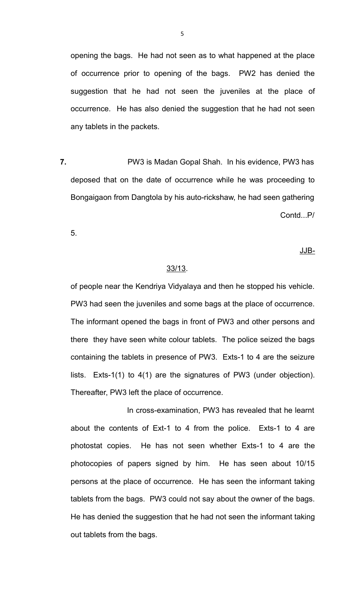opening the bags. He had not seen as to what happened at the place of occurrence prior to opening of the bags. PW2 has denied the suggestion that he had not seen the juveniles at the place of occurrence. He has also denied the suggestion that he had not seen any tablets in the packets.

**7.** PW3 is Madan Gopal Shah. In his evidence, PW3 has deposed that on the date of occurrence while he was proceeding to Bongaigaon from Dangtola by his auto-rickshaw, he had seen gathering Contd...P/

5.

## JJB-

#### 33/13.

of people near the Kendriya Vidyalaya and then he stopped his vehicle. PW3 had seen the juveniles and some bags at the place of occurrence. The informant opened the bags in front of PW3 and other persons and there they have seen white colour tablets. The police seized the bags containing the tablets in presence of PW3. Exts-1 to 4 are the seizure lists. Exts-1(1) to 4(1) are the signatures of PW3 (under objection). Thereafter, PW3 left the place of occurrence.

 In cross-examination, PW3 has revealed that he learnt about the contents of Ext-1 to 4 from the police. Exts-1 to 4 are photostat copies. He has not seen whether Exts-1 to 4 are the photocopies of papers signed by him. He has seen about 10/15 persons at the place of occurrence. He has seen the informant taking tablets from the bags. PW3 could not say about the owner of the bags. He has denied the suggestion that he had not seen the informant taking out tablets from the bags.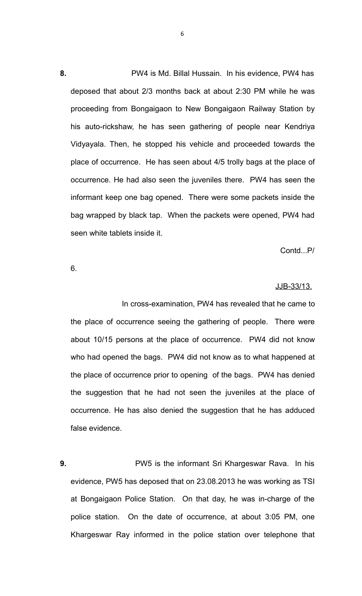**8.** PW4 is Md. Billal Hussain. In his evidence, PW4 has deposed that about 2/3 months back at about 2:30 PM while he was proceeding from Bongaigaon to New Bongaigaon Railway Station by his auto-rickshaw, he has seen gathering of people near Kendriya Vidyayala. Then, he stopped his vehicle and proceeded towards the place of occurrence. He has seen about 4/5 trolly bags at the place of occurrence. He had also seen the juveniles there. PW4 has seen the informant keep one bag opened. There were some packets inside the bag wrapped by black tap. When the packets were opened, PW4 had seen white tablets inside it.

Contd...P/

6.

#### JJB-33/13.

 In cross-examination, PW4 has revealed that he came to the place of occurrence seeing the gathering of people. There were about 10/15 persons at the place of occurrence. PW4 did not know who had opened the bags. PW4 did not know as to what happened at the place of occurrence prior to opening of the bags. PW4 has denied the suggestion that he had not seen the juveniles at the place of occurrence. He has also denied the suggestion that he has adduced false evidence.

**9.** PW5 is the informant Sri Khargeswar Rava. In his evidence, PW5 has deposed that on 23.08.2013 he was working as TSI at Bongaigaon Police Station. On that day, he was in-charge of the police station. On the date of occurrence, at about 3:05 PM, one Khargeswar Ray informed in the police station over telephone that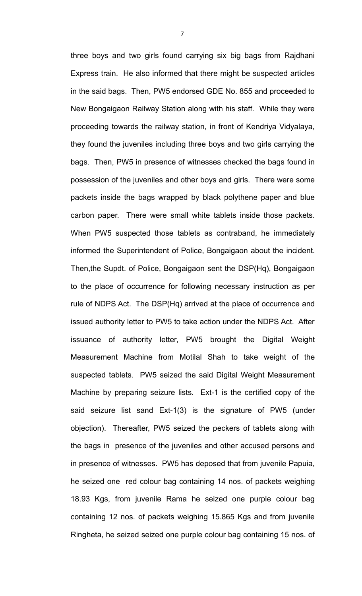three boys and two girls found carrying six big bags from Rajdhani Express train. He also informed that there might be suspected articles in the said bags. Then, PW5 endorsed GDE No. 855 and proceeded to New Bongaigaon Railway Station along with his staff. While they were proceeding towards the railway station, in front of Kendriya Vidyalaya, they found the juveniles including three boys and two girls carrying the bags. Then, PW5 in presence of witnesses checked the bags found in possession of the juveniles and other boys and girls. There were some packets inside the bags wrapped by black polythene paper and blue carbon paper. There were small white tablets inside those packets. When PW5 suspected those tablets as contraband, he immediately informed the Superintendent of Police, Bongaigaon about the incident. Then,the Supdt. of Police, Bongaigaon sent the DSP(Hq), Bongaigaon to the place of occurrence for following necessary instruction as per rule of NDPS Act. The DSP(Hq) arrived at the place of occurrence and issued authority letter to PW5 to take action under the NDPS Act. After issuance of authority letter, PW5 brought the Digital Weight Measurement Machine from Motilal Shah to take weight of the suspected tablets. PW5 seized the said Digital Weight Measurement Machine by preparing seizure lists. Ext-1 is the certified copy of the said seizure list sand Ext-1(3) is the signature of PW5 (under objection). Thereafter, PW5 seized the peckers of tablets along with the bags in presence of the juveniles and other accused persons and in presence of witnesses. PW5 has deposed that from juvenile Papuia, he seized one red colour bag containing 14 nos. of packets weighing 18.93 Kgs, from juvenile Rama he seized one purple colour bag containing 12 nos. of packets weighing 15.865 Kgs and from juvenile Ringheta, he seized seized one purple colour bag containing 15 nos. of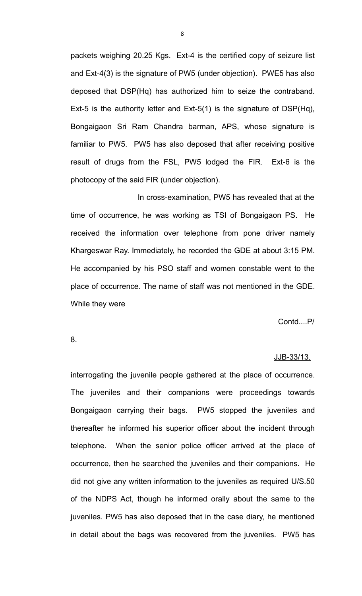packets weighing 20.25 Kgs. Ext-4 is the certified copy of seizure list and Ext-4(3) is the signature of PW5 (under objection). PWE5 has also deposed that DSP(Hq) has authorized him to seize the contraband. Ext-5 is the authority letter and Ext-5(1) is the signature of DSP(Hq), Bongaigaon Sri Ram Chandra barman, APS, whose signature is familiar to PW5. PW5 has also deposed that after receiving positive result of drugs from the FSL, PW5 lodged the FIR. Ext-6 is the photocopy of the said FIR (under objection).

 In cross-examination, PW5 has revealed that at the time of occurrence, he was working as TSI of Bongaigaon PS. He received the information over telephone from pone driver namely Khargeswar Ray. Immediately, he recorded the GDE at about 3:15 PM. He accompanied by his PSO staff and women constable went to the place of occurrence. The name of staff was not mentioned in the GDE. While they were

Contd....P/

8.

#### JJB-33/13.

interrogating the juvenile people gathered at the place of occurrence. The juveniles and their companions were proceedings towards Bongaigaon carrying their bags. PW5 stopped the juveniles and thereafter he informed his superior officer about the incident through telephone. When the senior police officer arrived at the place of occurrence, then he searched the juveniles and their companions. He did not give any written information to the juveniles as required U/S.50 of the NDPS Act, though he informed orally about the same to the juveniles. PW5 has also deposed that in the case diary, he mentioned in detail about the bags was recovered from the juveniles. PW5 has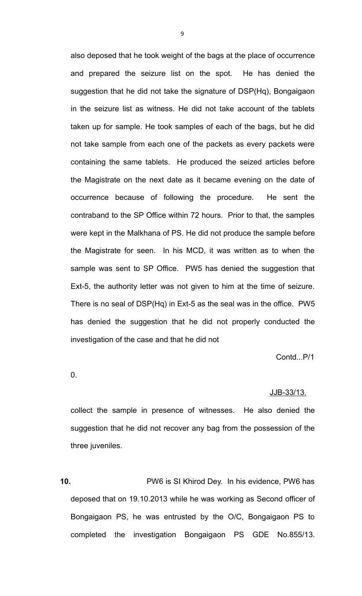also deposed that he took weight of the bags at the place of occurrence and prepared the seizure list on the spot. He has denied the suggestion that he did not take the signature of DSP(Hq), Bongaigaon in the seizure list as witness. He did not take account of the tablets taken up for sample. He took samples of each of the bags, but he did not take sample from each one of the packets as every packets were containing the same tablets. He produced the seized articles before the Magistrate on the next date as it became evening on the date of occurrence because of following the procedure. He sent the contraband to the SP Office within 72 hours. Prior to that, the samples were kept in the Malkhana of PS. He did not produce the sample before the Magistrate for seen. In his MCD, it was written as to when the sample was sent to SP Office. PW5 has denied the suggestion that Ext-5, the authority letter was not given to him at the time of seizure. There is no seal of DSP(Hq) in Ext-5 as the seal was in the office. PW5 has denied the suggestion that he did not properly conducted the investigation of the case and that he did not

Contd...P/1

0.

#### JJB-33/13.

collect the sample in presence of witnesses. He also denied the suggestion that he did not recover any bag from the possession of the three juveniles.

**10.** PW6 is SI Khirod Dey. In his evidence, PW6 has deposed that on 19.10.2013 while he was working as Second officer of Bongaigaon PS, he was entrusted by the O/C, Bongaigaon PS to completed the investigation Bongaigaon PS GDE No.855/13.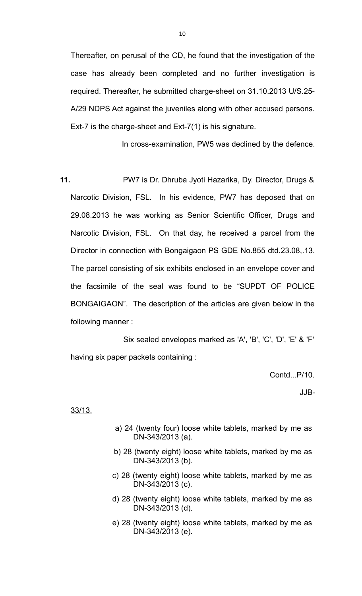Thereafter, on perusal of the CD, he found that the investigation of the case has already been completed and no further investigation is required. Thereafter, he submitted charge-sheet on 31.10.2013 U/S.25- A/29 NDPS Act against the juveniles along with other accused persons. Ext-7 is the charge-sheet and Ext-7(1) is his signature.

In cross-examination, PW5 was declined by the defence.

**11.** PW7 is Dr. Dhruba Jyoti Hazarika, Dy. Director, Drugs & Narcotic Division, FSL. In his evidence, PW7 has deposed that on 29.08.2013 he was working as Senior Scientific Officer, Drugs and Narcotic Division, FSL. On that day, he received a parcel from the Director in connection with Bongaigaon PS GDE No.855 dtd.23.08,.13. The parcel consisting of six exhibits enclosed in an envelope cover and the facsimile of the seal was found to be "SUPDT OF POLICE BONGAIGAON". The description of the articles are given below in the following manner :

 Six sealed envelopes marked as 'A', 'B', 'C', 'D', 'E' & 'F' having six paper packets containing :

Contd...P/10.

JJB-

33/13.

- a) 24 (twenty four) loose white tablets, marked by me as DN-343/2013 (a).
- b) 28 (twenty eight) loose white tablets, marked by me as DN-343/2013 (b).
- c) 28 (twenty eight) loose white tablets, marked by me as DN-343/2013 (c).
- d) 28 (twenty eight) loose white tablets, marked by me as DN-343/2013 (d).
- e) 28 (twenty eight) loose white tablets, marked by me as DN-343/2013 (e).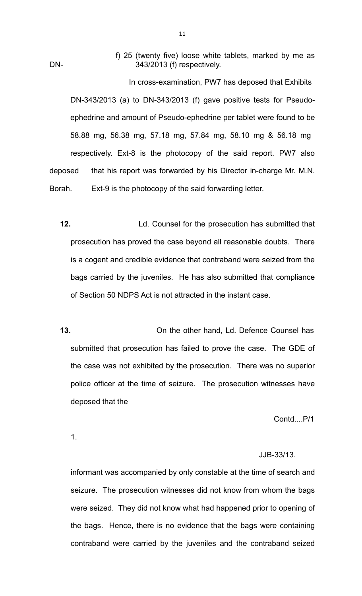f) 25 (twenty five) loose white tablets, marked by me as DN- 343/2013 (f) respectively.

 In cross-examination, PW7 has deposed that Exhibits DN-343/2013 (a) to DN-343/2013 (f) gave positive tests for Pseudoephedrine and amount of Pseudo-ephedrine per tablet were found to be 58.88 mg, 56.38 mg, 57.18 mg, 57.84 mg, 58.10 mg & 56.18 mg respectively. Ext-8 is the photocopy of the said report. PW7 also deposed that his report was forwarded by his Director in-charge Mr. M.N. Borah. Ext-9 is the photocopy of the said forwarding letter.

- **12.** Ld. Counsel for the prosecution has submitted that prosecution has proved the case beyond all reasonable doubts. There is a cogent and credible evidence that contraband were seized from the bags carried by the juveniles. He has also submitted that compliance of Section 50 NDPS Act is not attracted in the instant case.
- **13.** On the other hand, Ld. Defence Counsel has submitted that prosecution has failed to prove the case. The GDE of the case was not exhibited by the prosecution. There was no superior police officer at the time of seizure. The prosecution witnesses have deposed that the

Contd....P/1

1.

#### JJB-33/13.

informant was accompanied by only constable at the time of search and seizure. The prosecution witnesses did not know from whom the bags were seized. They did not know what had happened prior to opening of the bags. Hence, there is no evidence that the bags were containing contraband were carried by the juveniles and the contraband seized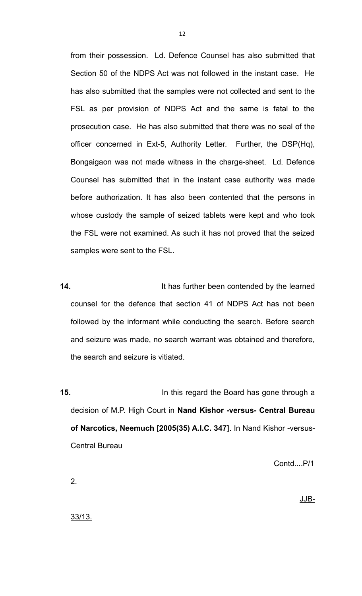from their possession. Ld. Defence Counsel has also submitted that Section 50 of the NDPS Act was not followed in the instant case. He has also submitted that the samples were not collected and sent to the FSL as per provision of NDPS Act and the same is fatal to the prosecution case. He has also submitted that there was no seal of the officer concerned in Ext-5, Authority Letter. Further, the DSP(Hq), Bongaigaon was not made witness in the charge-sheet. Ld. Defence Counsel has submitted that in the instant case authority was made before authorization. It has also been contented that the persons in whose custody the sample of seized tablets were kept and who took the FSL were not examined. As such it has not proved that the seized samples were sent to the FSL.

**14.** It has further been contended by the learned counsel for the defence that section 41 of NDPS Act has not been followed by the informant while conducting the search. Before search and seizure was made, no search warrant was obtained and therefore, the search and seizure is vitiated.

**15.** In this regard the Board has gone through a decision of M.P. High Court in **Nand Kishor -versus- Central Bureau of Narcotics, Neemuch [2005(35) A.I.C. 347]**. In Nand Kishor -versus-Central Bureau

Contd....P/1

2.

JJB-

33/13.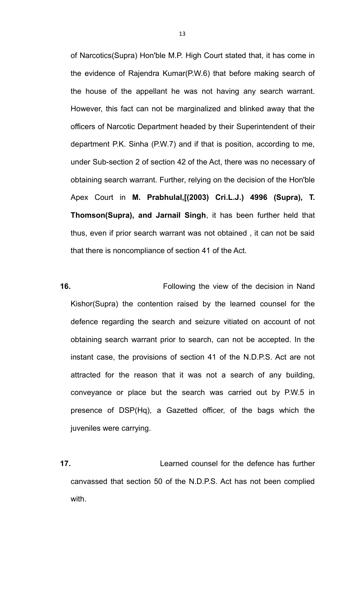of Narcotics(Supra) Hon'ble M.P. High Court stated that, it has come in the evidence of Rajendra Kumar(P.W.6) that before making search of the house of the appellant he was not having any search warrant. However, this fact can not be marginalized and blinked away that the officers of Narcotic Department headed by their Superintendent of their department P.K. Sinha (P.W.7) and if that is position, according to me, under Sub-section 2 of section 42 of the Act, there was no necessary of obtaining search warrant. Further, relying on the decision of the Hon'ble Apex Court in **M. Prabhulal,[(2003) Cri.L.J.) 4996 (Supra), T. Thomson(Supra), and Jarnail Singh**, it has been further held that thus, even if prior search warrant was not obtained , it can not be said that there is noncompliance of section 41 of the Act.

**16.** Following the view of the decision in Nand Kishor(Supra) the contention raised by the learned counsel for the defence regarding the search and seizure vitiated on account of not obtaining search warrant prior to search, can not be accepted. In the instant case, the provisions of section 41 of the N.D.P.S. Act are not attracted for the reason that it was not a search of any building, conveyance or place but the search was carried out by P.W.5 in presence of DSP(Hq), a Gazetted officer, of the bags which the juveniles were carrying.

**17.** Learned counsel for the defence has further canvassed that section 50 of the N.D.P.S. Act has not been complied with.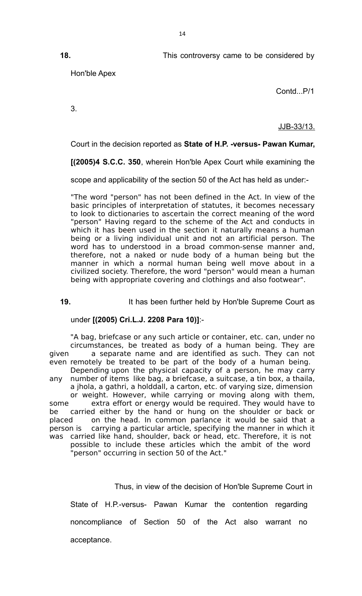**18.** This controversy came to be considered by

Hon'ble Apex

Contd...P/1

3.

JJB-33/13.

Court in the decision reported as **State of H.P. -versus- Pawan Kumar,**

**[(2005)4 S.C.C. 350**, wherein Hon'ble Apex Court while examining the

scope and applicability of the section 50 of the Act has held as under:-

"The word "person" has not been defined in the Act. In view of the basic principles of interpretation of statutes, it becomes necessary to look to dictionaries to ascertain the correct meaning of the word "person" Having regard to the scheme of the Act and conducts in which it has been used in the section it naturally means a human being or a living individual unit and not an artificial person. The word has to understood in a broad common-sense manner and, therefore, not a naked or nude body of a human being but the manner in which a normal human being well move about in a civilized society. Therefore, the word "person" would mean a human being with appropriate covering and clothings and also footwear".

**19.** It has been further held by Hon'ble Supreme Court as

under **[(2005) Cri.L.J. 2208 Para 10)]**:-

"A bag, briefcase or any such article or container, etc. can, under no circumstances, be treated as body of a human being. They are given a separate name and are identified as such. They can not even remotely be treated to be part of the body of a human being. Depending upon the physical capacity of a person, he may carry any number of items like bag, a briefcase, a suitcase, a tin box, a thaila, a jhola, a gathri, a holddall, a carton, etc. of varying size, dimension or weight. However, while carrying or moving along with them, some extra effort or energy would be required. They would have to be carried either by the hand or hung on the shoulder or back or placed on the head. In common parlance it would be said that a person is carrying a particular article, specifying the manner in which it was carried like hand, shoulder, back or head, etc. Therefore, it is not possible to include these articles which the ambit of the word "person" occurring in section 50 of the Act."

Thus, in view of the decision of Hon'ble Supreme Court in

State of H.P.-versus- Pawan Kumar the contention regarding

noncompliance of Section 50 of the Act also warrant no

acceptance.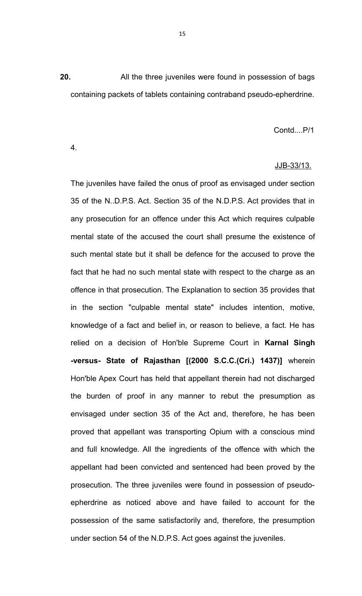**20.** All the three juveniles were found in possession of bags containing packets of tablets containing contraband pseudo-epherdrine.

## Contd....P/1

4.

## JJB-33/13.

The juveniles have failed the onus of proof as envisaged under section 35 of the N..D.P.S. Act. Section 35 of the N.D.P.S. Act provides that in any prosecution for an offence under this Act which requires culpable mental state of the accused the court shall presume the existence of such mental state but it shall be defence for the accused to prove the fact that he had no such mental state with respect to the charge as an offence in that prosecution. The Explanation to section 35 provides that in the section "culpable mental state" includes intention, motive, knowledge of a fact and belief in, or reason to believe, a fact. He has relied on a decision of Hon'ble Supreme Court in **Karnal Singh -versus- State of Rajasthan [(2000 S.C.C.(Cri.) 1437)]** wherein Hon'ble Apex Court has held that appellant therein had not discharged the burden of proof in any manner to rebut the presumption as envisaged under section 35 of the Act and, therefore, he has been proved that appellant was transporting Opium with a conscious mind and full knowledge. All the ingredients of the offence with which the appellant had been convicted and sentenced had been proved by the prosecution. The three juveniles were found in possession of pseudoepherdrine as noticed above and have failed to account for the possession of the same satisfactorily and, therefore, the presumption under section 54 of the N.D.P.S. Act goes against the juveniles.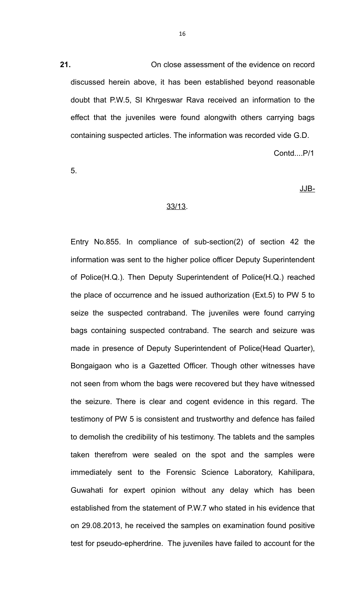**21.** On close assessment of the evidence on record discussed herein above, it has been established beyond reasonable doubt that P.W.5, SI Khrgeswar Rava received an information to the effect that the juveniles were found alongwith others carrying bags containing suspected articles. The information was recorded vide G.D.

Contd....P/1

5.

JJB-

### 33/13.

Entry No.855. In compliance of sub-section(2) of section 42 the information was sent to the higher police officer Deputy Superintendent of Police(H.Q.). Then Deputy Superintendent of Police(H.Q.) reached the place of occurrence and he issued authorization (Ext.5) to PW 5 to seize the suspected contraband. The juveniles were found carrying bags containing suspected contraband. The search and seizure was made in presence of Deputy Superintendent of Police(Head Quarter), Bongaigaon who is a Gazetted Officer. Though other witnesses have not seen from whom the bags were recovered but they have witnessed the seizure. There is clear and cogent evidence in this regard. The testimony of PW 5 is consistent and trustworthy and defence has failed to demolish the credibility of his testimony. The tablets and the samples taken therefrom were sealed on the spot and the samples were immediately sent to the Forensic Science Laboratory, Kahilipara, Guwahati for expert opinion without any delay which has been established from the statement of P.W.7 who stated in his evidence that on 29.08.2013, he received the samples on examination found positive test for pseudo-epherdrine. The juveniles have failed to account for the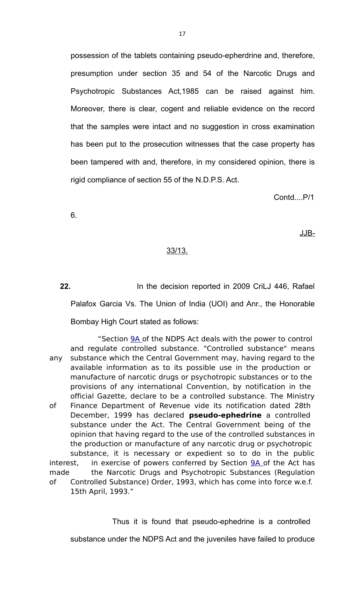possession of the tablets containing pseudo-epherdrine and, therefore, presumption under section 35 and 54 of the Narcotic Drugs and Psychotropic Substances Act,1985 can be raised against him. Moreover, there is clear, cogent and reliable evidence on the record that the samples were intact and no suggestion in cross examination has been put to the prosecution witnesses that the case property has been tampered with and, therefore, in my considered opinion, there is rigid compliance of section 55 of the N.D.P.S. Act.

Contd....P/1

6.

JJB-

## 33/13.

**22.** In the decision reported in 2009 CriLJ 446, Rafael Palafox Garcia Vs. The Union of India (UOI) and Anr., the Honorable Bombay High Court stated as follows:

 "Section [9A o](javascript:fnOpenGlobalPopUp()f the NDPS Act deals with the power to control and regulate controlled substance. "Controlled substance" means any substance which the Central Government may, having regard to the available information as to its possible use in the production or manufacture of narcotic drugs or psychotropic substances or to the provisions of any international Convention, by notification in the official Gazette, declare to be a controlled substance. The Ministry of Finance Department of Revenue vide its notification dated 28th December, 1999 has declared **pseudo-ephedrine** a controlled substance under the Act. The Central Government being of the opinion that having regard to the use of the controlled substances in the production or manufacture of any narcotic drug or psychotropic substance, it is necessary or expedient so to do in the public interest, in exercise of powers conferred by Section  $9A$  of the Act has made the Narcotic Drugs and Psychotropic Substances (Regulation of Controlled Substance) Order, 1993, which has come into force w.e.f. 15th April, 1993."

Thus it is found that pseudo-ephedrine is a controlled

substance under the NDPS Act and the juveniles have failed to produce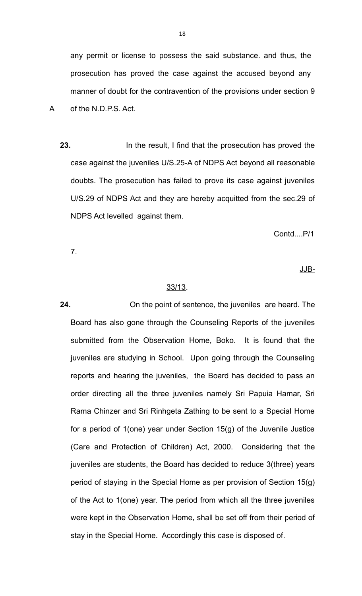any permit or license to possess the said substance. and thus, the prosecution has proved the case against the accused beyond any manner of doubt for the contravention of the provisions under section 9 A of the N.D.P.S. Act.

**23.**In the result, I find that the prosecution has proved the case against the juveniles U/S.25-A of NDPS Act beyond all reasonable doubts. The prosecution has failed to prove its case against juveniles U/S.29 of NDPS Act and they are hereby acquitted from the sec.29 of NDPS Act levelled against them.

Contd....P/1

7.

JJB-

## 33/13.

**24.** On the point of sentence, the juveniles are heard. The Board has also gone through the Counseling Reports of the juveniles submitted from the Observation Home, Boko. It is found that the juveniles are studying in School. Upon going through the Counseling reports and hearing the juveniles, the Board has decided to pass an order directing all the three juveniles namely Sri Papuia Hamar, Sri Rama Chinzer and Sri Rinhgeta Zathing to be sent to a Special Home for a period of 1(one) year under Section 15(g) of the Juvenile Justice (Care and Protection of Children) Act, 2000. Considering that the juveniles are students, the Board has decided to reduce 3(three) years period of staying in the Special Home as per provision of Section 15(g) of the Act to 1(one) year. The period from which all the three juveniles were kept in the Observation Home, shall be set off from their period of stay in the Special Home. Accordingly this case is disposed of.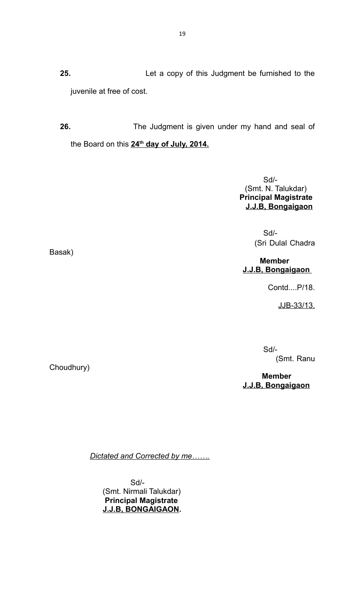**25.** Let a copy of this Judgment be furnished to the juvenile at free of cost.

**26.** The Judgment is given under my hand and seal of the Board on this **24th day of July, 2014.**

> Sd/- (Smt. N. Talukdar)  **Principal Magistrate J.J.B, Bongaigaon**

 $S$ d/-(Sri Dulal Chadra

> **Member J.J.B, Bongaigaon**

> > Contd....P/18.

JJB-33/13.

 Sd/- (Smt. Ranu

 **Member J.J.B, Bongaigaon**

*Dictated and Corrected by me…….*

 Sd/- (Smt. Nirmali Talukdar)  **Principal Magistrate J.J.B, BONGAIGAON.**

Basak)

Choudhury)